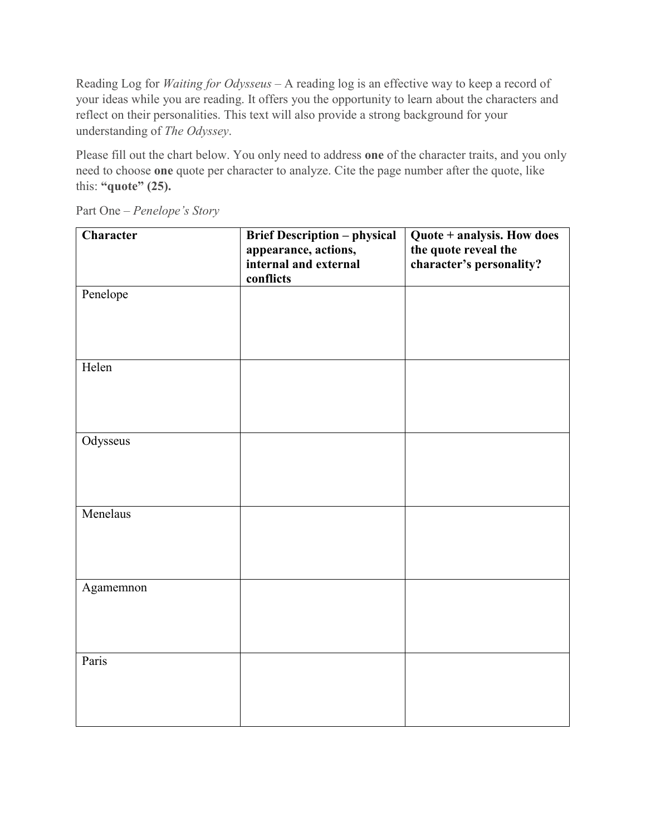Reading Log for *Waiting for Odysseus* – A reading log is an effective way to keep a record of your ideas while you are reading. It offers you the opportunity to learn about the characters and reflect on their personalities. This text will also provide a strong background for your understanding of *The Odyssey*.

Please fill out the chart below. You only need to address **one** of the character traits, and you only need to choose **one** quote per character to analyze. Cite the page number after the quote, like this: **"quote" (25).** 

| Character | <b>Brief Description - physical</b> | Quote + analysis. How does |
|-----------|-------------------------------------|----------------------------|
|           | appearance, actions,                | the quote reveal the       |
|           | internal and external               | character's personality?   |
|           | conflicts                           |                            |
| Penelope  |                                     |                            |
|           |                                     |                            |
|           |                                     |                            |
|           |                                     |                            |
|           |                                     |                            |
| Helen     |                                     |                            |
|           |                                     |                            |
|           |                                     |                            |
|           |                                     |                            |
| Odysseus  |                                     |                            |
|           |                                     |                            |
|           |                                     |                            |
|           |                                     |                            |
|           |                                     |                            |
| Menelaus  |                                     |                            |
|           |                                     |                            |
|           |                                     |                            |
|           |                                     |                            |
| Agamemnon |                                     |                            |
|           |                                     |                            |
|           |                                     |                            |
|           |                                     |                            |
|           |                                     |                            |
| Paris     |                                     |                            |
|           |                                     |                            |
|           |                                     |                            |
|           |                                     |                            |

Part One – *Penelope's Story*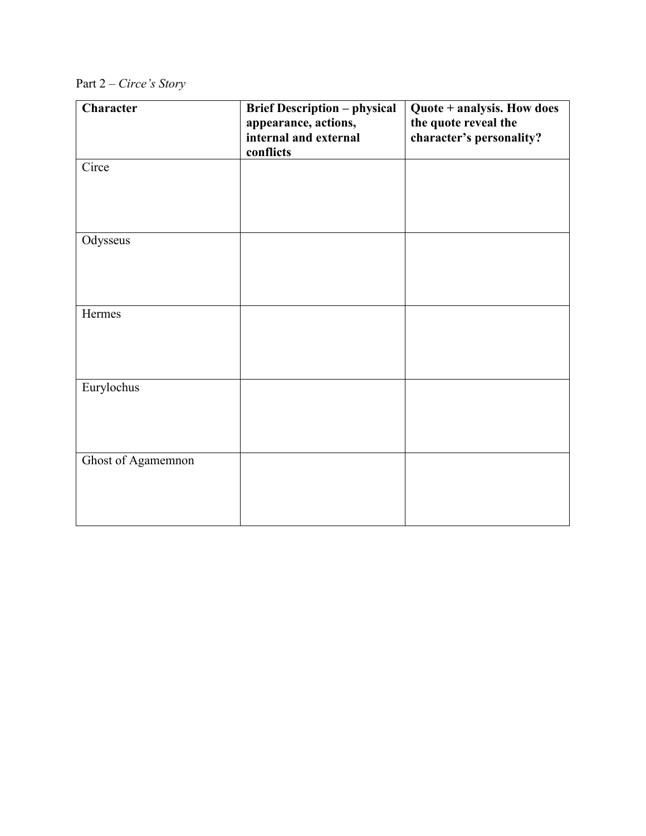|  |  | Part $2$ – Circe's Story |
|--|--|--------------------------|
|  |  |                          |

| Character          | <b>Brief Description - physical</b> | Quote + analysis. How does |
|--------------------|-------------------------------------|----------------------------|
|                    | appearance, actions,                | the quote reveal the       |
|                    | internal and external               | character's personality?   |
|                    | conflicts                           |                            |
| Circe              |                                     |                            |
|                    |                                     |                            |
|                    |                                     |                            |
|                    |                                     |                            |
| Odysseus           |                                     |                            |
|                    |                                     |                            |
|                    |                                     |                            |
|                    |                                     |                            |
|                    |                                     |                            |
| Hermes             |                                     |                            |
|                    |                                     |                            |
|                    |                                     |                            |
|                    |                                     |                            |
| Eurylochus         |                                     |                            |
|                    |                                     |                            |
|                    |                                     |                            |
|                    |                                     |                            |
|                    |                                     |                            |
| Ghost of Agamemnon |                                     |                            |
|                    |                                     |                            |
|                    |                                     |                            |
|                    |                                     |                            |
|                    |                                     |                            |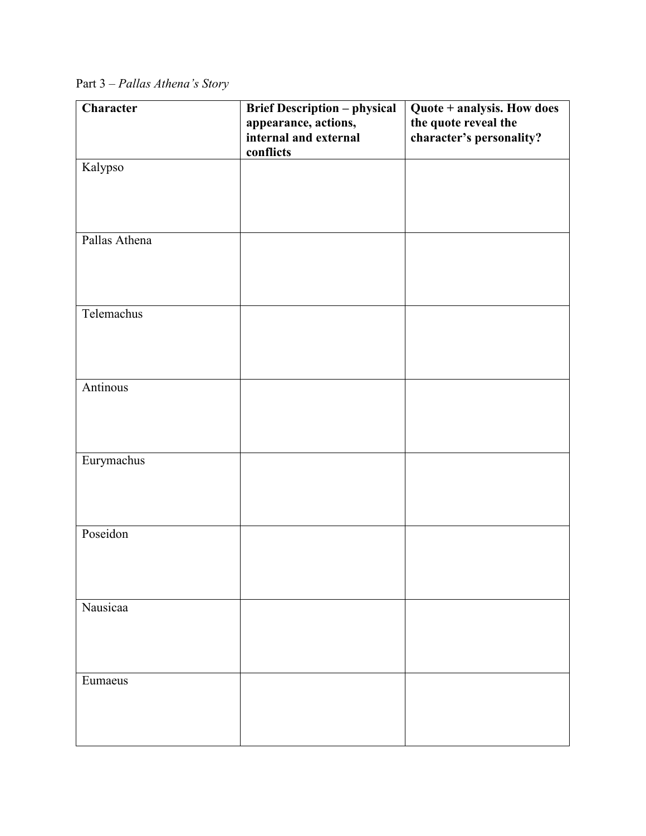Part 3 – *Pallas Athena's Story*

| Character     | <b>Brief Description - physical</b> | Quote + analysis. How does |
|---------------|-------------------------------------|----------------------------|
|               | appearance, actions,                | the quote reveal the       |
|               | internal and external               | character's personality?   |
|               | conflicts                           |                            |
| Kalypso       |                                     |                            |
|               |                                     |                            |
|               |                                     |                            |
|               |                                     |                            |
|               |                                     |                            |
| Pallas Athena |                                     |                            |
|               |                                     |                            |
|               |                                     |                            |
|               |                                     |                            |
|               |                                     |                            |
| Telemachus    |                                     |                            |
|               |                                     |                            |
|               |                                     |                            |
|               |                                     |                            |
|               |                                     |                            |
| Antinous      |                                     |                            |
|               |                                     |                            |
|               |                                     |                            |
|               |                                     |                            |
|               |                                     |                            |
| Eurymachus    |                                     |                            |
|               |                                     |                            |
|               |                                     |                            |
|               |                                     |                            |
| Poseidon      |                                     |                            |
|               |                                     |                            |
|               |                                     |                            |
|               |                                     |                            |
|               |                                     |                            |
| Nausicaa      |                                     |                            |
|               |                                     |                            |
|               |                                     |                            |
|               |                                     |                            |
|               |                                     |                            |
| Eumaeus       |                                     |                            |
|               |                                     |                            |
|               |                                     |                            |
|               |                                     |                            |
|               |                                     |                            |